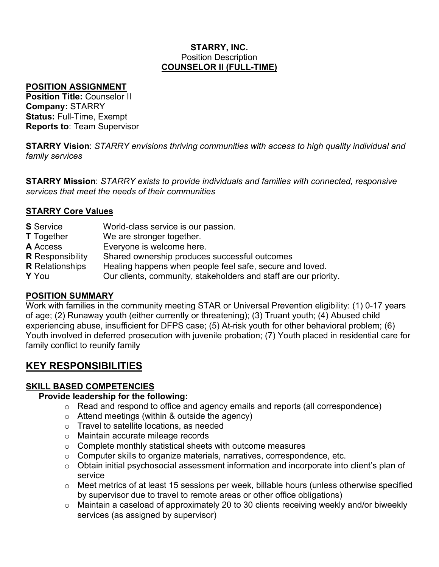#### **STARRY, INC.** Position Description **COUNSELOR II (FULL-TIME)**

## **POSITION ASSIGNMENT**

**Position Title:** Counselor II **Company:** STARRY **Status:** Full-Time, Exempt **Reports to**: Team Supervisor

**STARRY Vision**: *STARRY envisions thriving communities with access to high quality individual and family services*

**STARRY Mission**: *STARRY exists to provide individuals and families with connected, responsive services that meet the needs of their communities*

#### **STARRY Core Values**

| <b>S</b> Service        | World-class service is our passion.                              |
|-------------------------|------------------------------------------------------------------|
| <b>T</b> Together       | We are stronger together.                                        |
| A Access                | Everyone is welcome here.                                        |
| <b>R</b> Responsibility | Shared ownership produces successful outcomes                    |
| <b>R</b> Relationships  | Healing happens when people feel safe, secure and loved.         |
| Y You                   | Our clients, community, stakeholders and staff are our priority. |
|                         |                                                                  |

#### **POSITION SUMMARY**

Work with families in the community meeting STAR or Universal Prevention eligibility: (1) 0-17 years of age; (2) Runaway youth (either currently or threatening); (3) Truant youth; (4) Abused child experiencing abuse, insufficient for DFPS case; (5) At-risk youth for other behavioral problem; (6) Youth involved in deferred prosecution with juvenile probation; (7) Youth placed in residential care for family conflict to reunify family

# **KEY RESPONSIBILITIES**

#### **SKILL BASED COMPETENCIES**

#### **Provide leadership for the following:**

- o Read and respond to office and agency emails and reports (all correspondence)
- $\circ$  Attend meetings (within & outside the agency)
- o Travel to satellite locations, as needed
- o Maintain accurate mileage records
- o Complete monthly statistical sheets with outcome measures
- o Computer skills to organize materials, narratives, correspondence, etc.
- o Obtain initial psychosocial assessment information and incorporate into client's plan of service
- $\circ$  Meet metrics of at least 15 sessions per week, billable hours (unless otherwise specified by supervisor due to travel to remote areas or other office obligations)
- o Maintain a caseload of approximately 20 to 30 clients receiving weekly and/or biweekly services (as assigned by supervisor)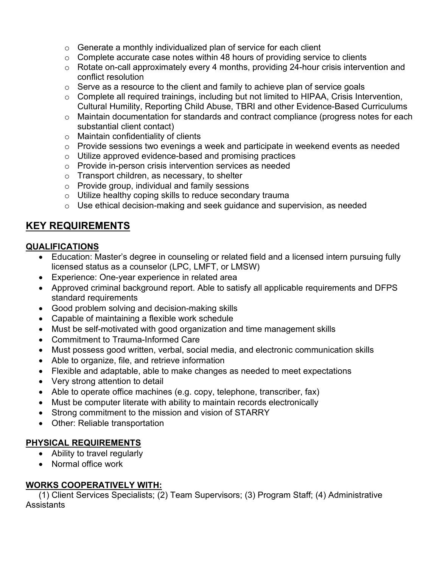- $\circ$  Generate a monthly individualized plan of service for each client
- $\circ$  Complete accurate case notes within 48 hours of providing service to clients
- o Rotate on-call approximately every 4 months, providing 24-hour crisis intervention and conflict resolution
- o Serve as a resource to the client and family to achieve plan of service goals
- o Complete all required trainings, including but not limited to HIPAA, Crisis Intervention, Cultural Humility, Reporting Child Abuse, TBRI and other Evidence-Based Curriculums
- o Maintain documentation for standards and contract compliance (progress notes for each substantial client contact)
- o Maintain confidentiality of clients
- o Provide sessions two evenings a week and participate in weekend events as needed
- o Utilize approved evidence-based and promising practices
- o Provide in-person crisis intervention services as needed
- o Transport children, as necessary, to shelter
- o Provide group, individual and family sessions
- o Utilize healthy coping skills to reduce secondary trauma
- o Use ethical decision-making and seek guidance and supervision, as needed

# **KEY REQUIREMENTS**

### **QUALIFICATIONS**

- Education: Master's degree in counseling or related field and a licensed intern pursuing fully licensed status as a counselor (LPC, LMFT, or LMSW)
- Experience: One-year experience in related area
- Approved criminal background report. Able to satisfy all applicable requirements and DFPS standard requirements
- Good problem solving and decision-making skills
- Capable of maintaining a flexible work schedule
- Must be self-motivated with good organization and time management skills
- Commitment to Trauma-Informed Care
- Must possess good written, verbal, social media, and electronic communication skills
- Able to organize, file, and retrieve information
- Flexible and adaptable, able to make changes as needed to meet expectations
- Very strong attention to detail
- Able to operate office machines (e.g. copy, telephone, transcriber, fax)
- Must be computer literate with ability to maintain records electronically
- Strong commitment to the mission and vision of STARRY
- Other: Reliable transportation

# **PHYSICAL REQUIREMENTS**

- Ability to travel regularly
- Normal office work

# **WORKS COOPERATIVELY WITH:**

(1) Client Services Specialists; (2) Team Supervisors; (3) Program Staff; (4) Administrative **Assistants**